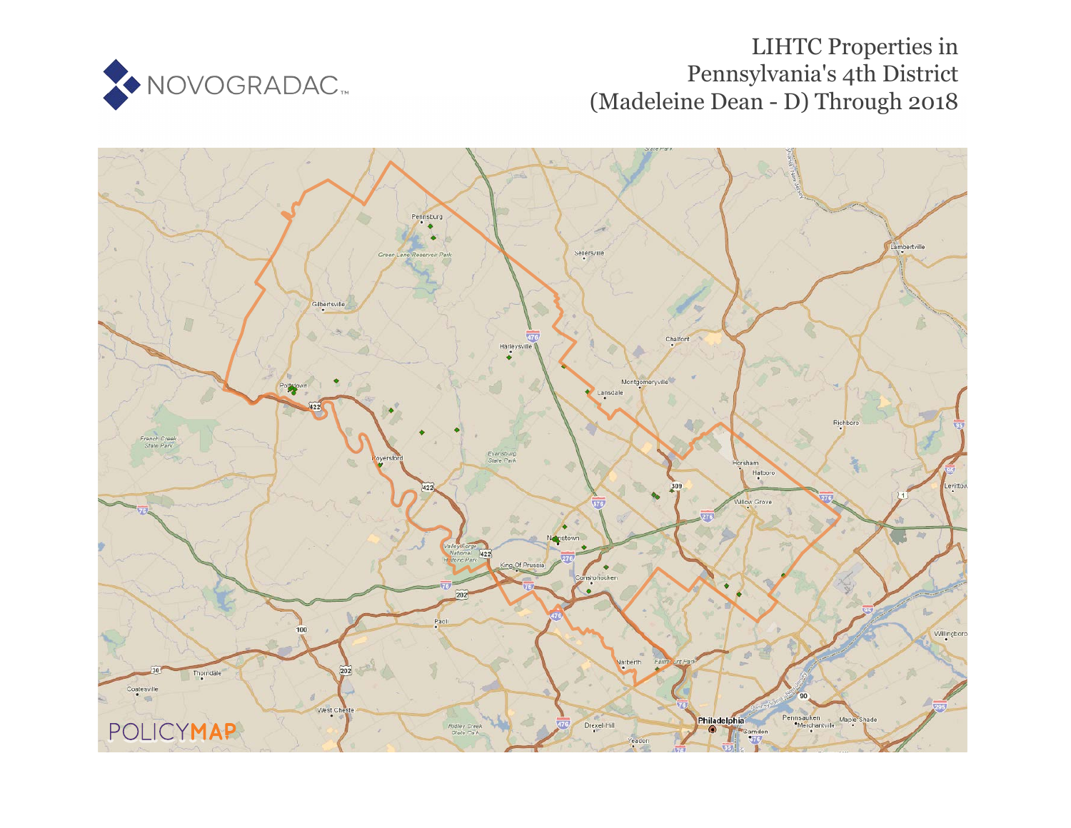

## LIHTC Properties in Pennsylvania's 4th District (Madeleine Dean - D) Through 2018

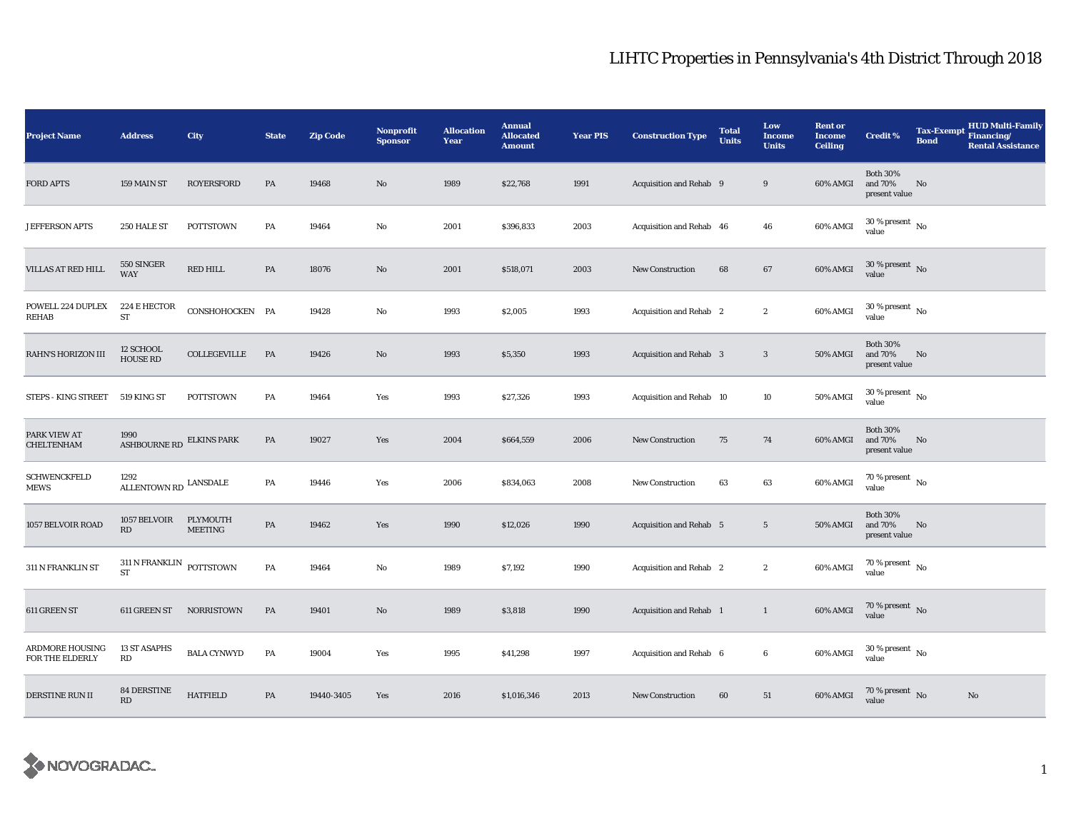## LIHTC Properties in Pennsylvania's 4th District Through 2018

| <b>Project Name</b>                | <b>Address</b>                         | City                       | <b>State</b>  | <b>Zip Code</b> | Nonprofit<br><b>Sponsor</b> | <b>Allocation</b><br>Year | <b>Annual</b><br><b>Allocated</b><br><b>Amount</b> | <b>Year PIS</b> | <b>Construction Type</b>       | <b>Total</b><br><b>Units</b> | Low<br><b>Income</b><br><b>Units</b> | <b>Rent or</b><br><b>Income</b><br><b>Ceiling</b> | <b>Credit %</b>                             | <b>Tax-Exempt</b><br><b>Bond</b> | <b>HUD Multi-Family</b><br>Financing/<br><b>Rental Assistance</b> |
|------------------------------------|----------------------------------------|----------------------------|---------------|-----------------|-----------------------------|---------------------------|----------------------------------------------------|-----------------|--------------------------------|------------------------------|--------------------------------------|---------------------------------------------------|---------------------------------------------|----------------------------------|-------------------------------------------------------------------|
| <b>FORD APTS</b>                   | 159 MAIN ST                            | <b>ROYERSFORD</b>          | PA            | 19468           | $\mathbf{N}\mathbf{o}$      | 1989                      | \$22,768                                           | 1991            | Acquisition and Rehab 9        |                              | 9                                    | 60% AMGI                                          | <b>Both 30%</b><br>and 70%<br>present value | No                               |                                                                   |
| <b>JEFFERSON APTS</b>              | 250 HALE ST                            | <b>POTTSTOWN</b>           | PA            | 19464           | No                          | 2001                      | \$396,833                                          | 2003            | Acquisition and Rehab 46       |                              | 46                                   | 60% AMGI                                          | $30\,\%$ present $_{\, \rm No}$<br>value    |                                  |                                                                   |
| <b>VILLAS AT RED HILL</b>          | 550 SINGER<br><b>WAY</b>               | RED HILL                   | PA            | 18076           | $\rm No$                    | 2001                      | \$518,071                                          | 2003            | <b>New Construction</b>        | 68                           | 67                                   | 60% AMGI                                          | $30$ % present $\,$ No value                |                                  |                                                                   |
| POWELL 224 DUPLEX<br><b>REHAB</b>  | 224 E HECTOR<br>${\rm ST}$             | CONSHOHOCKEN PA            |               | 19428           | No                          | 1993                      | \$2,005                                            | 1993            | Acquisition and Rehab 2        |                              | $\boldsymbol{2}$                     | 60% AMGI                                          | $30$ % present $\,$ No $\,$<br>value        |                                  |                                                                   |
| RAHN'S HORIZON III                 | 12 SCHOOL<br>HOUSE RD                  | COLLEGEVILLE               | PA            | 19426           | No                          | 1993                      | \$5,350                                            | 1993            | <b>Acquisition and Rehab 3</b> |                              | $\boldsymbol{3}$                     | <b>50% AMGI</b>                                   | <b>Both 30%</b><br>and 70%<br>present value | No                               |                                                                   |
| STEPS - KING STREET                | 519 KING ST                            | <b>POTTSTOWN</b>           | PA            | 19464           | Yes                         | 1993                      | \$27,326                                           | 1993            | Acquisition and Rehab 10       |                              | 10                                   | 50% AMGI                                          | $30$ % present $\,$ No $\,$<br>value        |                                  |                                                                   |
| PARK VIEW AT<br><b>CHELTENHAM</b>  | 1990<br>ASHBOURNE RD ELKINS PARK       |                            | PA            | 19027           | Yes                         | 2004                      | \$664,559                                          | 2006            | <b>New Construction</b>        | 75                           | 74                                   | 60% AMGI                                          | <b>Both 30%</b><br>and 70%<br>present value | No                               |                                                                   |
| <b>SCHWENCKFELD</b><br>MEWS        | 1292<br>ALLENTOWN RD $\,$ LANSDALE     |                            | PA            | 19446           | Yes                         | 2006                      | \$834,063                                          | 2008            | <b>New Construction</b>        | 63                           | 63                                   | 60% AMGI                                          | $70$ % present $\,$ No $\,$<br>value        |                                  |                                                                   |
| 1057 BELVOIR ROAD                  | 1057 BELVOIR<br>$\mathbf{R}\mathbf{D}$ | PLYMOUTH<br><b>MEETING</b> | $\mathbf{PA}$ | 19462           | Yes                         | 1990                      | \$12,026                                           | 1990            | Acquisition and Rehab 5        |                              | $5\phantom{.0}$                      | <b>50% AMGI</b>                                   | <b>Both 30%</b><br>and 70%<br>present value | No                               |                                                                   |
| 311 N FRANKLIN ST                  | $311$ N FRANKLIN $\_$ POTTSTOWN<br>ST  |                            | PA            | 19464           | No                          | 1989                      | \$7,192                                            | 1990            | Acquisition and Rehab 2        |                              | $\boldsymbol{2}$                     | 60% AMGI                                          | 70 % present $\hbox{~No}$<br>value          |                                  |                                                                   |
| 611 GREEN ST                       | 611 GREEN ST                           | <b>NORRISTOWN</b>          | PA            | 19401           | $\mathbf{N}\mathbf{o}$      | 1989                      | \$3,818                                            | 1990            | Acquisition and Rehab 1        |                              | $\mathbf{1}$                         | 60% AMGI                                          | 70 % present No<br>value                    |                                  |                                                                   |
| ARDMORE HOUSING<br>FOR THE ELDERLY | <b>13 ST ASAPHS</b><br>RD              | <b>BALA CYNWYD</b>         | PA            | 19004           | Yes                         | 1995                      | \$41,298                                           | 1997            | Acquisition and Rehab 6        |                              | $\boldsymbol{6}$                     | 60% AMGI                                          | $30$ % present $\,$ No $\,$<br>value        |                                  |                                                                   |
| DERSTINE RUN II                    | <b>84 DERSTINE</b><br>RD               | <b>HATFIELD</b>            | PA            | 19440-3405      | Yes                         | 2016                      | \$1,016,346                                        | 2013            | <b>New Construction</b>        | 60                           | 51                                   | 60% AMGI                                          | $70\,\%$ present $\,$ No value              |                                  | No                                                                |

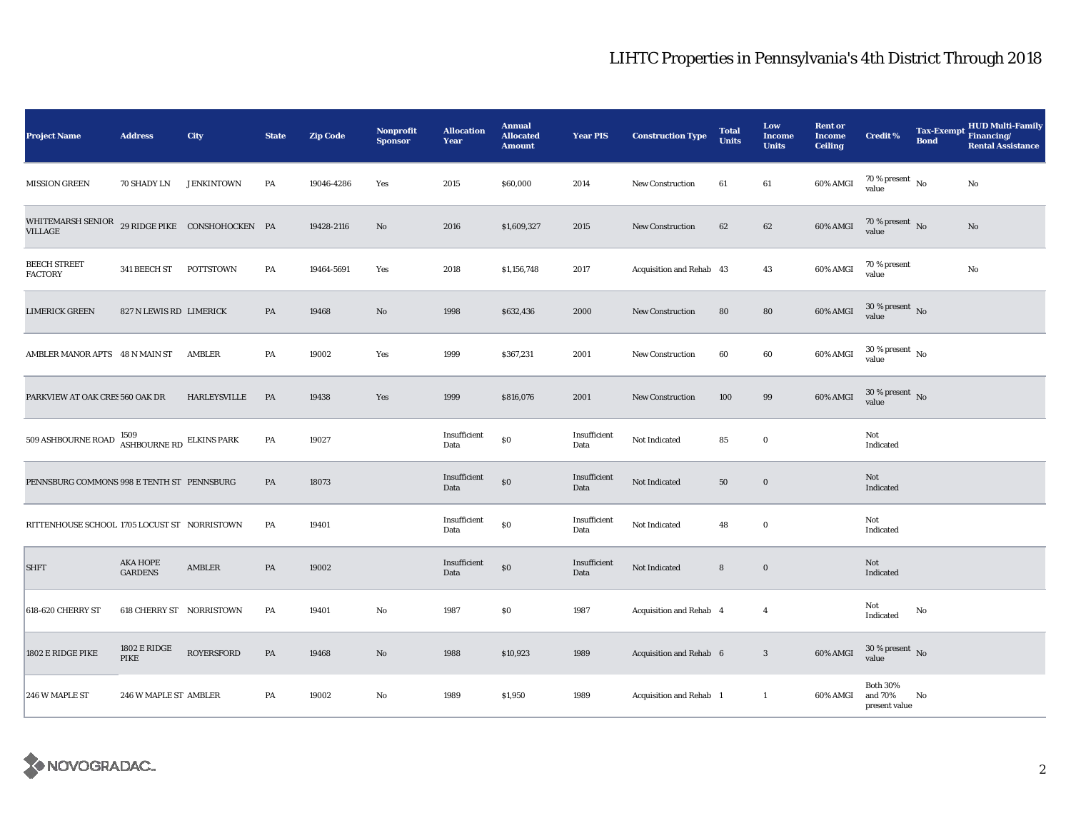## LIHTC Properties in Pennsylvania's 4th District Through 2018

| <b>Project Name</b>                                  | <b>Address</b>                    | <b>City</b>                   | <b>State</b> | <b>Zip Code</b> | Nonprofit<br><b>Sponsor</b> | <b>Allocation</b><br>Year | <b>Annual</b><br><b>Allocated</b><br><b>Amount</b> | <b>Year PIS</b>      | <b>Construction Type</b> | <b>Total</b><br><b>Units</b> | Low<br><b>Income</b><br><b>Units</b> | <b>Rent or</b><br><b>Income</b><br><b>Ceiling</b> | <b>Credit %</b>                             | <b>Tax-Exempt</b><br><b>Bond</b> | <b>HUD Multi-Family</b><br>Financing/<br><b>Rental Assistance</b> |
|------------------------------------------------------|-----------------------------------|-------------------------------|--------------|-----------------|-----------------------------|---------------------------|----------------------------------------------------|----------------------|--------------------------|------------------------------|--------------------------------------|---------------------------------------------------|---------------------------------------------|----------------------------------|-------------------------------------------------------------------|
| <b>MISSION GREEN</b>                                 | 70 SHADY LN                       | <b>JENKINTOWN</b>             | PA           | 19046-4286      | Yes                         | 2015                      | \$60,000                                           | 2014                 | New Construction         | 61                           | 61                                   | 60% AMGI                                          | $70$ % present $$\rm{No}$$ value            |                                  | $\rm No$                                                          |
| WHITEMARSH SENIOR<br><b>VILLAGE</b>                  |                                   | 29 RIDGE PIKE CONSHOHOCKEN PA |              | 19428-2116      | No                          | 2016                      | \$1,609,327                                        | 2015                 | New Construction         | 62                           | 62                                   | 60% AMGI                                          | $70\,\%$ present $\,$ No $\,$<br>value      |                                  | No                                                                |
| BEECH STREET<br><b>FACTORY</b>                       | 341 BEECH ST POTTSTOWN            |                               | PA           | 19464-5691      | Yes                         | 2018                      | \$1,156,748                                        | 2017                 | Acquisition and Rehab 43 |                              | 43                                   | 60% AMGI                                          | 70 % present<br>value                       |                                  | $\rm No$                                                          |
| LIMERICK GREEN                                       | 827 N LEWIS RD LIMERICK           |                               | PA           | 19468           | No                          | 1998                      | \$632,436                                          | 2000                 | <b>New Construction</b>  | 80                           | 80                                   | 60% AMGI                                          | $30$ % present $\,$ No $\,$<br>value        |                                  |                                                                   |
| AMBLER MANOR APTS 48 N MAIN ST                       |                                   | AMBLER                        | PA           | 19002           | Yes                         | 1999                      | \$367,231                                          | 2001                 | <b>New Construction</b>  | 60                           | $60\,$                               | 60% AMGI                                          | $30$ % present $\,$ No $\,$<br>value        |                                  |                                                                   |
| PARKVIEW AT OAK CRES 560 OAK DR                      |                                   | HARLEYSVILLE                  | PA           | 19438           | Yes                         | 1999                      | \$816,076                                          | 2001                 | New Construction         | 100                          | 99                                   | 60% AMGI                                          | $30\,\%$ present $\,$ No $\,$<br>value      |                                  |                                                                   |
| 509 ASHBOURNE ROAD $$\tt ASHBOURNE\,RD$$ ELKINS PARK |                                   |                               | PA           | 19027           |                             | Insufficient<br>Data      | $\$0$                                              | Insufficient<br>Data | Not Indicated            | 85                           | $\bf{0}$                             |                                                   | Not<br>Indicated                            |                                  |                                                                   |
| PENNSBURG COMMONS 998 E TENTH ST PENNSBURG           |                                   |                               | PA           | 18073           |                             | Insufficient<br>Data      | $\$0$                                              | Insufficient<br>Data | Not Indicated            | ${\bf 50}$                   | $\boldsymbol{0}$                     |                                                   | <b>Not</b><br>Indicated                     |                                  |                                                                   |
| RITTENHOUSE SCHOOL 1705 LOCUST ST NORRISTOWN         |                                   |                               | PA           | 19401           |                             | Insufficient<br>Data      | $\$0$                                              | Insufficient<br>Data | Not Indicated            | 48                           | $\bf{0}$                             |                                                   | Not<br>Indicated                            |                                  |                                                                   |
| <b>SHFT</b>                                          | <b>AKA HOPE</b><br><b>GARDENS</b> | AMBLER                        | PA           | 19002           |                             | Insufficient<br>Data      | $\$0$                                              | Insufficient<br>Data | Not Indicated            | 8                            | $\bf{0}$                             |                                                   | Not<br>Indicated                            |                                  |                                                                   |
| 618-620 CHERRY ST                                    | <b>618 CHERRY ST NORRISTOWN</b>   |                               | PA           | 19401           | No                          | 1987                      | \$0                                                | 1987                 | Acquisition and Rehab 4  |                              | $\overline{4}$                       |                                                   | Not<br>Indicated                            | No                               |                                                                   |
| 1802 E RIDGE PIKE                                    | 1802 E RIDGE<br>PIKE              | <b>ROYERSFORD</b>             | PA           | 19468           | $\mathbf{No}$               | 1988                      | \$10,923                                           | 1989                 | Acquisition and Rehab 6  |                              | $\mathbf{3}$                         | 60% AMGI                                          | $30\,\%$ present $\,$ No value              |                                  |                                                                   |
| 246 W MAPLE ST                                       | 246 W MAPLE ST AMBLER             |                               | PA           | 19002           | No                          | 1989                      | \$1,950                                            | 1989                 | Acquisition and Rehab 1  |                              | $\mathbf{1}$                         | 60% AMGI                                          | <b>Both 30%</b><br>and 70%<br>present value | No                               |                                                                   |